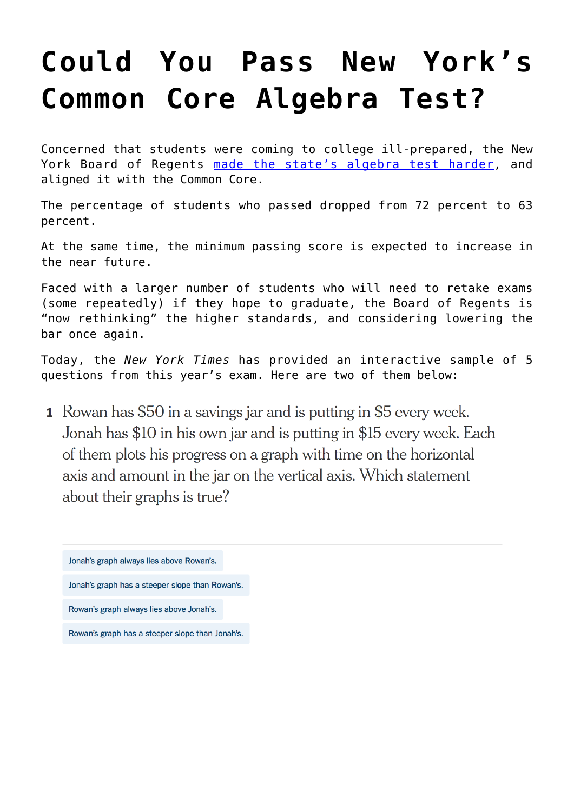## **[Could You Pass New York's](https://intellectualtakeout.org/2015/11/could-you-pass-new-yorks-common-core-algebra-test/) [Common Core Algebra Test?](https://intellectualtakeout.org/2015/11/could-you-pass-new-yorks-common-core-algebra-test/)**

Concerned that students were coming to college ill-prepared, the New York Board of Regents [made the state's algebra test harder,](http://www.nytimes.com/2015/12/01/nyregion/algebra-scores-prompt-second-look-at-revamped-regents-exams.html) and aligned it with the Common Core.

The percentage of students who passed dropped from 72 percent to 63 percent.

At the same time, the minimum passing score is expected to increase in the near future.

Faced with a larger number of students who will need to retake exams (some repeatedly) if they hope to graduate, the Board of Regents is "now rethinking" the higher standards, and considering lowering the bar once again.

Today, the *New York Times* has provided an interactive sample of 5 questions from this year's exam. Here are two of them below:

**1** Rowan has \$50 in a savings jar and is putting in \$5 every week. Jonah has \$10 in his own jar and is putting in \$15 every week. Each of them plots his progress on a graph with time on the horizontal axis and amount in the jar on the vertical axis. Which statement about their graphs is true?